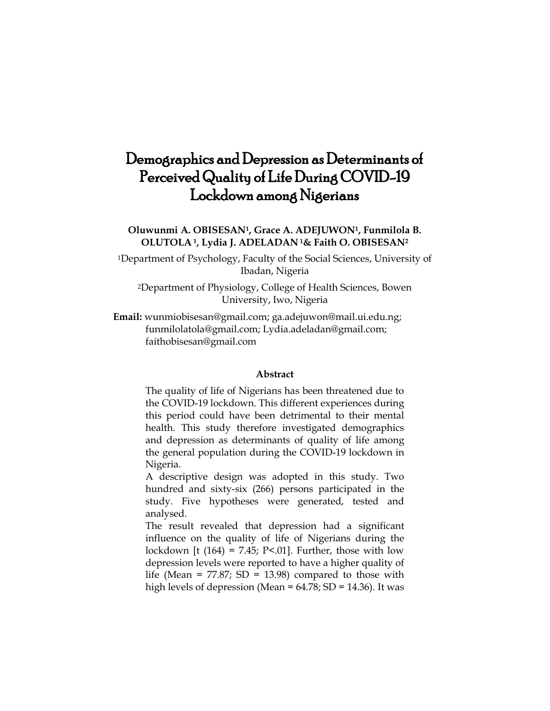# Demographics and Depression as Determinants of Perceived Quality of Life During COVID-19 Lockdown among Nigerians

**Oluwunmi A. OBISESAN1, Grace A. ADEJUWON1, Funmilola B. OLUTOLA <sup>1</sup>, Lydia J. ADELADAN <sup>1</sup>& Faith O. OBISESAN<sup>2</sup>**

<sup>1</sup>Department of Psychology, Faculty of the Social Sciences, University of Ibadan, Nigeria

<sup>2</sup>Department of Physiology, College of Health Sciences, Bowen University, Iwo, Nigeria

**Email:** [wunmiobisesan@gmail.com;](mailto:wunmiobisesan@gmail.com) ga.adejuwon@mail.ui.edu.ng; [funmilolatola@gmail.com;](mailto:funmilolatola@gmail.com) Lydia.adeladan@gmail.com; faithobisesan@gmail.com

## **Abstract**

The quality of life of Nigerians has been threatened due to the COVID-19 lockdown. This different experiences during this period could have been detrimental to their mental health. This study therefore investigated demographics and depression as determinants of quality of life among the general population during the COVID-19 lockdown in Nigeria.

A descriptive design was adopted in this study. Two hundred and sixty-six (266) persons participated in the study. Five hypotheses were generated, tested and analysed.

The result revealed that depression had a significant influence on the quality of life of Nigerians during the lockdown [t  $(164) = 7.45$ ; P<.01]. Further, those with low depression levels were reported to have a higher quality of life (Mean =  $77.87$ ; SD = 13.98) compared to those with high levels of depression (Mean = 64.78; SD = 14.36). It was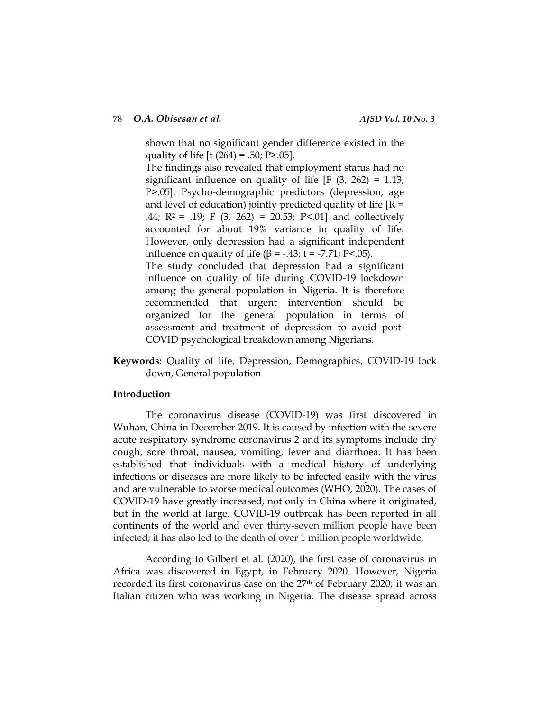shown that no significant gender difference existed in the quality of life  $[t (264) = .50; P > .05]$ .

The findings also revealed that employment status had no significant influence on quality of life  $[F (3, 262) = 1.13;$ P>.05]. Psycho-demographic predictors (depression, age and level of education) jointly predicted quality of life  $[R =$ .44;  $R^2 = .19$ ;  $F(3. 262) = 20.53$ ;  $P<.01$  and collectively accounted for about 19% variance in quality of life. However, only depression had a significant independent influence on quality of life (β = -.43; t = -7.71; P<.05). The study concluded that depression had a significant influence on quality of life during COVID-19 lockdown

among the general population in Nigeria. It is therefore recommended that urgent intervention should be organized for the general population in terms of assessment and treatment of depression to avoid post-COVID psychological breakdown among Nigerians.

**Keywords:** Quality of life, Depression, Demographics, COVID-19 lock down, General population

# **Introduction**

The coronavirus disease (COVID-19) was first discovered in Wuhan, China in December 2019. It is caused by infection with the severe acute respiratory syndrome coronavirus 2 and its symptoms include dry cough, sore throat, nausea, vomiting, fever and diarrhoea. It has been established that individuals with a medical history of underlying infections or diseases are more likely to be infected easily with the virus and are vulnerable to worse medical outcomes (WHO, 2020). The cases of COVID-19 have greatly increased, not only in China where it originated, but in the world at large. COVID-19 outbreak has been reported in all continents of the world and over thirty-seven million people have been infected; it has also led to the death of over 1 million people worldwide.

According to Gilbert et al. (2020), the first case of coronavirus in Africa was discovered in Egypt, in February 2020. However, Nigeria recorded its first coronavirus case on the 27<sup>th</sup> of February 2020; it was an Italian citizen who was working in Nigeria. The disease spread across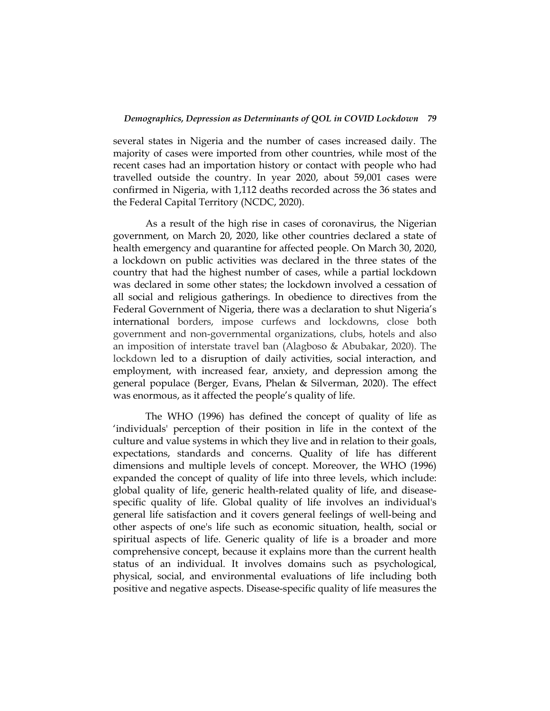## *Demographics, Depression as Determinants of QOL in COVID Lockdown 79*

several states in Nigeria and the number of cases increased daily. The majority of cases were imported from other countries, while most of the recent cases had an importation history or contact with people who had travelled outside the country. In year 2020, about 59,001 cases were confirmed in Nigeria, with 1,112 deaths recorded across the 36 states and the Federal Capital Territory (NCDC, 2020).

As a result of the high rise in cases of coronavirus, the Nigerian government, on March 20, 2020, like other countries declared a state of health emergency and quarantine for affected people. On March 30, 2020, a lockdown on public activities was declared in the three states of the country that had the highest number of cases, while a partial lockdown was declared in some other states; the lockdown involved a cessation of all social and religious gatherings. In obedience to directives from the Federal Government of Nigeria, there was a declaration to shut Nigeria's international borders, impose curfews and lockdowns, close both government and non-governmental organizations, clubs, hotels and also an imposition of interstate travel ban (Alagboso & Abubakar, 2020). The lockdown led to a disruption of daily activities, social interaction, and employment, with increased fear, anxiety, and depression among the general populace (Berger, Evans, Phelan & Silverman, 2020). The effect was enormous, as it affected the people's quality of life.

The WHO (1996) has defined the concept of quality of life as 'individuals' perception of their position in life in the context of the culture and value systems in which they live and in relation to their goals, expectations, standards and concerns. Quality of life has different dimensions and multiple levels of concept. Moreover, the WHO (1996) expanded the concept of quality of life into three levels, which include: global quality of life, generic health-related quality of life, and diseasespecific quality of life. Global quality of life involves an individual's general life satisfaction and it covers general feelings of well-being and other aspects of one's life such as economic situation, health, social or spiritual aspects of life. Generic quality of life is a broader and more comprehensive concept, because it explains more than the current health status of an individual. It involves domains such as psychological, physical, social, and environmental evaluations of life including both positive and negative aspects. Disease-specific quality of life measures the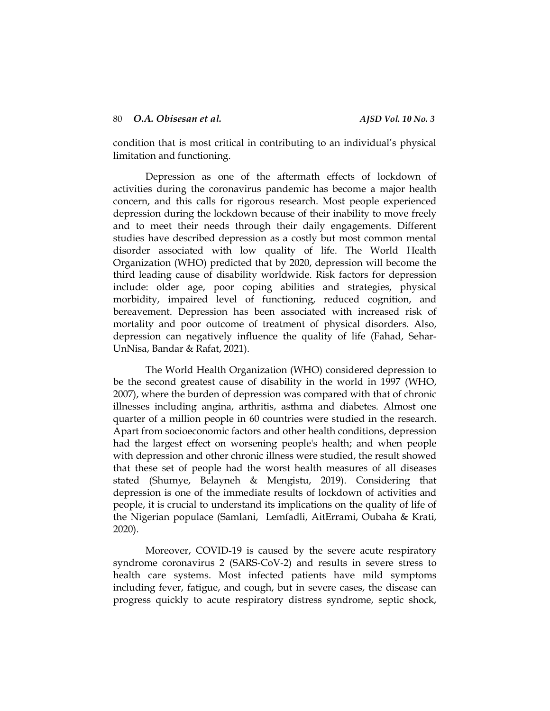condition that is most critical in contributing to an individual's physical limitation and functioning.

Depression as one of the aftermath effects of lockdown of activities during the coronavirus pandemic has become a major health concern, and this calls for rigorous research. Most people experienced depression during the lockdown because of their inability to move freely and to meet their needs through their daily engagements. Different studies have described depression as a costly but most common mental disorder associated with low quality of life. The World Health Organization (WHO) predicted that by 2020, depression will become the third leading cause of disability worldwide. Risk factors for depression include: older age, poor coping abilities and strategies, physical morbidity, impaired level of functioning, reduced cognition, and bereavement. Depression has been associated with increased risk of mortality and poor outcome of treatment of physical disorders. Also, depression can negatively influence the quality of life (Fahad, Sehar-UnNisa, Bandar & Rafat, 2021).

The World Health Organization (WHO) considered depression to be the second greatest cause of disability in the world in 1997 (WHO, 2007), where the burden of depression was compared with that of chronic illnesses including angina, arthritis, asthma and diabetes. Almost one quarter of a million people in 60 countries were studied in the research. Apart from socioeconomic factors and other health conditions, depression had the largest effect on worsening people's health; and when people with depression and other chronic illness were studied, the result showed that these set of people had the worst health measures of all diseases stated (Shumye, Belayneh & Mengistu, 2019). Considering that depression is one of the immediate results of lockdown of activities and people, it is crucial to understand its implications on the quality of life of the Nigerian populace (Samlani, Lemfadli, AitErrami, Oubaha & Krati, 2020).

Moreover, COVID-19 is caused by the severe acute respiratory syndrome coronavirus 2 (SARS‐CoV‐2) and results in severe stress to health care systems. Most infected patients have mild symptoms including fever, fatigue, and cough, but in severe cases, the disease can progress quickly to acute respiratory distress syndrome, septic shock,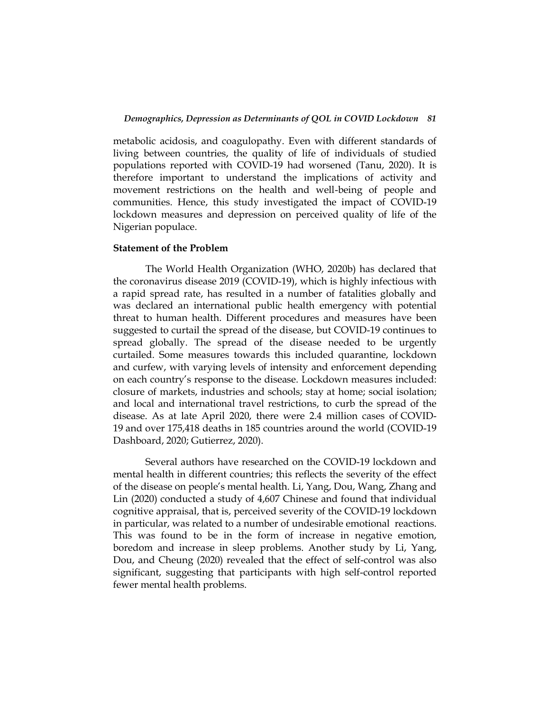metabolic acidosis, and coagulopathy. Even with different standards of living between countries, the quality of life of individuals of studied populations reported with COVID-19 had worsened (Tanu, 2020). It is therefore important to understand the implications of activity and movement restrictions on the health and well-being of people and communities. Hence, this study investigated the impact of COVID-19 lockdown measures and depression on perceived quality of life of the Nigerian populace.

## **Statement of the Problem**

The World Health Organization (WHO, 2020b) has declared that the coronavirus disease 2019 (COVID-19), which is highly infectious with a rapid spread rate, has resulted in a number of fatalities globally and was declared an international public health emergency with potential threat to human health. Different procedures and measures have been suggested to curtail the spread of the disease, but COVID-19 continues to spread globally. The spread of the disease needed to be urgently curtailed. Some measures towards this included quarantine, lockdown and curfew, with varying levels of intensity and enforcement depending on each country's response to the disease. Lockdown measures included: closure of markets, industries and schools; stay at home; social isolation; and local and international travel restrictions, to curb the spread of the disease. As at late April 2020, there were 2.4 million cases of [COVID-](https://en.wikipedia.org/wiki/COVID-19)[19](https://en.wikipedia.org/wiki/COVID-19) and over 175,418 deaths in 185 countries around the world (COVID-19 Dashboard, 2020; Gutierrez, 2020).

Several authors have researched on the COVID-19 lockdown and mental health in different countries; this reflects the severity of the effect of the disease on people's mental health. Li, Yang, Dou, Wang, Zhang and Lin (2020) conducted a study of 4,607 Chinese and found that individual cognitive appraisal, that is, perceived severity of the COVID-19 lockdown in particular, was related to a number of undesirable emotional reactions. This was found to be in the form of increase in negative emotion, boredom and increase in sleep problems. Another study by Li, Yang, Dou, and Cheung (2020) revealed that the effect of self-control was also significant, suggesting that participants with high self-control reported fewer mental health problems.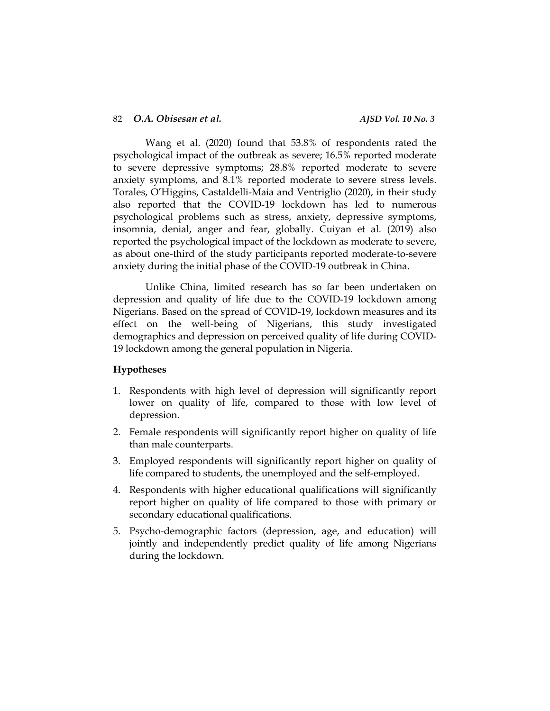Wang et al. (2020) found that 53.8% of respondents rated the psychological impact of the outbreak as severe; 16.5% reported moderate to severe depressive symptoms; 28.8% reported moderate to severe anxiety symptoms, and 8.1% reported moderate to severe stress levels. Torales, O'Higgins, Castaldelli-Maia and Ventriglio (2020), in their study also reported that the COVID-19 lockdown has led to numerous psychological problems such as stress, anxiety, depressive symptoms, insomnia, denial, anger and fear, globally. Cuiyan et al. (2019) also reported the psychological impact of the lockdown as moderate to severe, as about one-third of the study participants reported moderate-to-severe anxiety during the initial phase of the COVID-19 outbreak in China.

Unlike China, limited research has so far been undertaken on depression and quality of life due to the COVID-19 lockdown among Nigerians. Based on the spread of COVID-19, lockdown measures and its effect on the well-being of Nigerians, this study investigated demographics and depression on perceived quality of life during COVID-19 lockdown among the general population in Nigeria.

# **Hypotheses**

- 1. Respondents with high level of depression will significantly report lower on quality of life, compared to those with low level of depression.
- 2. Female respondents will significantly report higher on quality of life than male counterparts.
- 3. Employed respondents will significantly report higher on quality of life compared to students, the unemployed and the self-employed.
- 4. Respondents with higher educational qualifications will significantly report higher on quality of life compared to those with primary or secondary educational qualifications.
- 5. Psycho-demographic factors (depression, age, and education) will jointly and independently predict quality of life among Nigerians during the lockdown.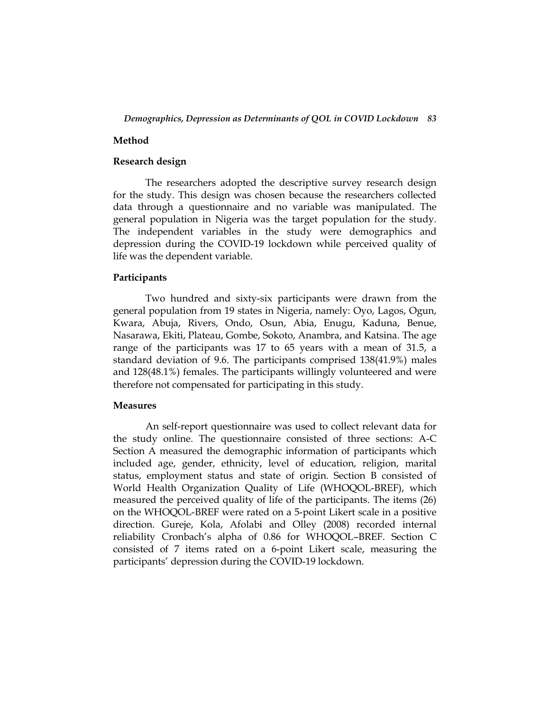# **Method**

# **Research design**

The researchers adopted the descriptive survey research design for the study. This design was chosen because the researchers collected data through a questionnaire and no variable was manipulated. The general population in Nigeria was the target population for the study. The independent variables in the study were demographics and depression during the COVID-19 lockdown while perceived quality of life was the dependent variable.

## **Participants**

Two hundred and sixty-six participants were drawn from the general population from 19 states in Nigeria, namely: Oyo, Lagos, Ogun, Kwara, Abuja, Rivers, Ondo, Osun, Abia, Enugu, Kaduna, Benue, Nasarawa, Ekiti, Plateau, Gombe, Sokoto, Anambra, and Katsina. The age range of the participants was 17 to 65 years with a mean of 31.5, a standard deviation of 9.6. The participants comprised 138(41.9%) males and 128(48.1%) females. The participants willingly volunteered and were therefore not compensated for participating in this study.

#### **Measures**

An self-report questionnaire was used to collect relevant data for the study online. The questionnaire consisted of three sections: A-C Section A measured the demographic information of participants which included age, gender, ethnicity, level of education, religion, marital status, employment status and state of origin. Section B consisted of World Health Organization Quality of Life (WHOQOL-BREF), which measured the perceived quality of life of the participants. The items (26) on the WHOQOL-BREF were rated on a 5-point Likert scale in a positive direction. Gureje, Kola, Afolabi and Olley (2008) recorded internal reliability Cronbach's alpha of 0.86 for WHOQOL–BREF. Section C consisted of 7 items rated on a 6-point Likert scale, measuring the participants' depression during the COVID-19 lockdown.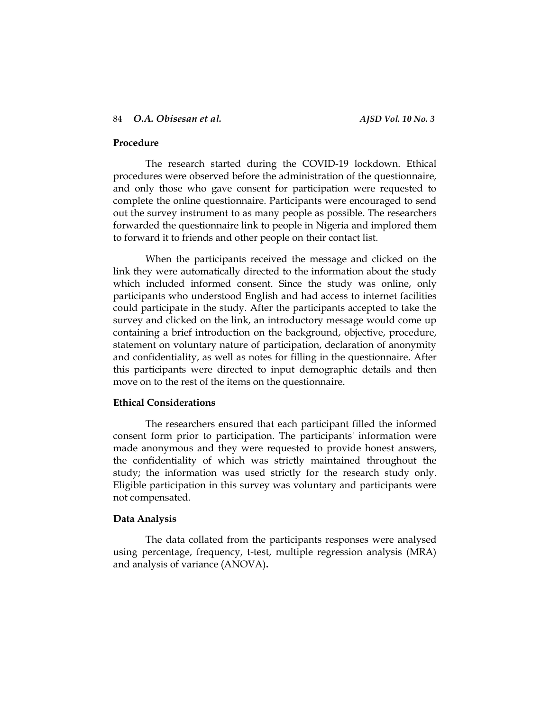# **Procedure**

The research started during the COVID-19 lockdown. Ethical procedures were observed before the administration of the questionnaire, and only those who gave consent for participation were requested to complete the online questionnaire. Participants were encouraged to send out the survey instrument to as many people as possible. The researchers forwarded the questionnaire link to people in Nigeria and implored them to forward it to friends and other people on their contact list.

When the participants received the message and clicked on the link they were automatically directed to the information about the study which included informed consent. Since the study was online, only participants who understood English and had access to internet facilities could participate in the study. After the participants accepted to take the survey and clicked on the link, an introductory message would come up containing a brief introduction on the background, objective, procedure, statement on voluntary nature of participation, declaration of anonymity and confidentiality, as well as notes for filling in the questionnaire. After this participants were directed to input demographic details and then move on to the rest of the items on the questionnaire.

# **Ethical Considerations**

The researchers ensured that each participant filled the informed consent form prior to participation. The participants' information were made anonymous and they were requested to provide honest answers, the confidentiality of which was strictly maintained throughout the study; the information was used strictly for the research study only. Eligible participation in this survey was voluntary and participants were not compensated.

#### **Data Analysis**

The data collated from the participants responses were analysed using percentage, frequency, t-test, multiple regression analysis (MRA) and analysis of variance (ANOVA)**.**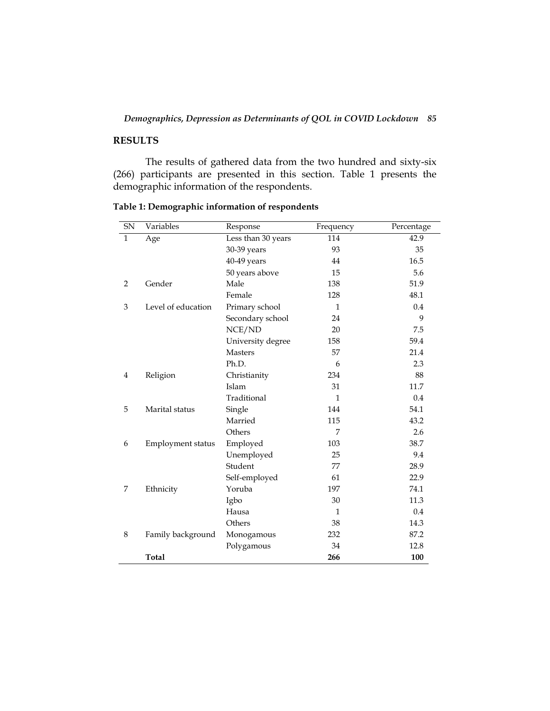# *Demographics, Depression as Determinants of QOL in COVID Lockdown 85*

# **RESULTS**

The results of gathered data from the two hundred and sixty-six (266) participants are presented in this section. Table 1 presents the demographic information of the respondents.

| <b>SN</b>    | Variables          | Response           | Frequency | Percentage |
|--------------|--------------------|--------------------|-----------|------------|
| $\mathbf{1}$ | Age                | Less than 30 years | 114       | 42.9       |
|              |                    | 30-39 years        | 93        | 35         |
|              |                    | 40-49 years        | 44        | 16.5       |
|              |                    | 50 years above     | 15        | 5.6        |
| 2            | Gender             | Male               | 138       | 51.9       |
|              |                    | Female             | 128       | 48.1       |
| 3            | Level of education | Primary school     | 1         | 0.4        |
|              |                    | Secondary school   | 24        | 9          |
|              |                    | NCE/ND             | 20        | 7.5        |
|              |                    | University degree  | 158       | 59.4       |
|              |                    | <b>Masters</b>     | 57        | 21.4       |
|              |                    | Ph.D.              | 6         | 2.3        |
| 4            | Religion           | Christianity       | 234       | 88         |
|              |                    | Islam              | 31        | 11.7       |
|              |                    | Traditional        | 1         | $0.4\,$    |
| 5            | Marital status     | Single             | 144       | 54.1       |
|              |                    | Married            | 115       | 43.2       |
|              |                    | Others             | 7         | 2.6        |
| 6            | Employment status  | Employed           | 103       | 38.7       |
|              |                    | Unemployed         | 25        | 9.4        |
|              |                    | Student            | 77        | 28.9       |
|              |                    | Self-employed      | 61        | 22.9       |
| 7            | Ethnicity          | Yoruba             | 197       | 74.1       |
|              |                    | Igbo               | 30        | 11.3       |
|              |                    | Hausa              | 1         | 0.4        |
|              |                    | Others             | 38        | 14.3       |
| 8            | Family background  | Monogamous         | 232       | 87.2       |
|              |                    | Polygamous         | 34        | 12.8       |
|              | <b>Total</b>       |                    | 266       | 100        |

**Table 1: Demographic information of respondents**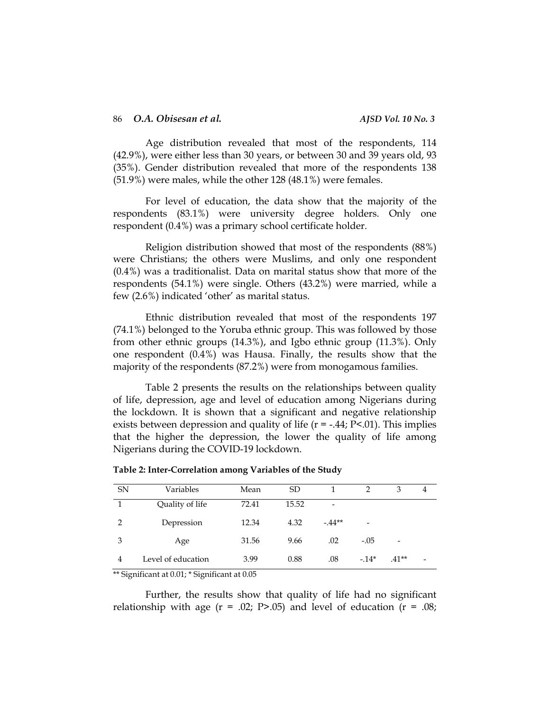Age distribution revealed that most of the respondents, 114 (42.9%), were either less than 30 years, or between 30 and 39 years old, 93 (35%). Gender distribution revealed that more of the respondents 138 (51.9%) were males, while the other 128 (48.1%) were females.

For level of education, the data show that the majority of the respondents (83.1%) were university degree holders. Only one respondent (0.4%) was a primary school certificate holder.

Religion distribution showed that most of the respondents (88%) were Christians; the others were Muslims, and only one respondent (0.4%) was a traditionalist. Data on marital status show that more of the respondents (54.1%) were single. Others (43.2%) were married, while a few (2.6%) indicated 'other' as marital status.

Ethnic distribution revealed that most of the respondents 197 (74.1%) belonged to the Yoruba ethnic group. This was followed by those from other ethnic groups (14.3%), and Igbo ethnic group (11.3%). Only one respondent (0.4%) was Hausa. Finally, the results show that the majority of the respondents (87.2%) were from monogamous families.

Table 2 presents the results on the relationships between quality of life, depression, age and level of education among Nigerians during the lockdown. It is shown that a significant and negative relationship exists between depression and quality of life  $(r = -.44; P < .01)$ . This implies that the higher the depression, the lower the quality of life among Nigerians during the COVID-19 lockdown.

| <b>SN</b> | Variables          | Mean  | <sub>SD</sub> |         |        | З                        | 4 |
|-----------|--------------------|-------|---------------|---------|--------|--------------------------|---|
|           | Quality of life    | 72.41 | 15.52         |         |        |                          |   |
| 2         | Depression         | 12.34 | 4.32          | $-44**$ | -      |                          |   |
| 3         | Age                | 31.56 | 9.66          | .02     | $-.05$ | $\overline{\phantom{a}}$ |   |
| 4         | Level of education | 3.99  | 0.88          | .08     | $-14*$ | $.41**$                  | - |
|           |                    |       |               |         |        |                          |   |

**Table 2: Inter-Correlation among Variables of the Study**

\*\* Significant at 0.01; \* Significant at 0.05

Further, the results show that quality of life had no significant relationship with age  $(r = .02; P > .05)$  and level of education  $(r = .08;$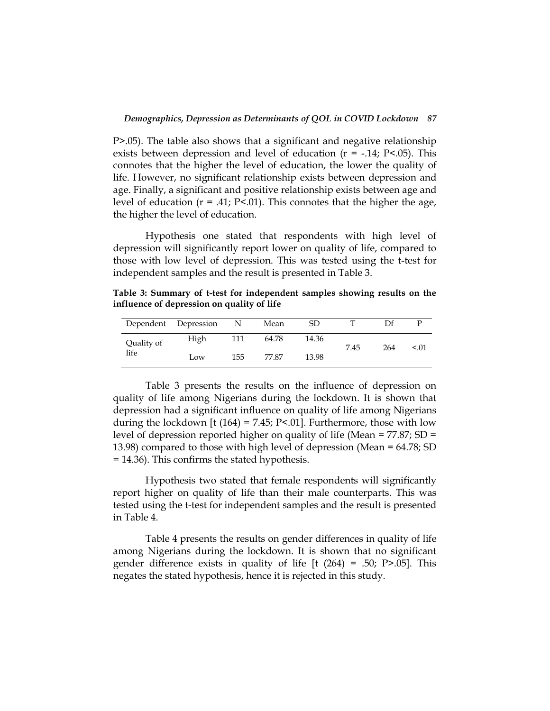P>.05). The table also shows that a significant and negative relationship exists between depression and level of education  $(r = -.14; P < .05)$ . This connotes that the higher the level of education, the lower the quality of life. However, no significant relationship exists between depression and age. Finally, a significant and positive relationship exists between age and level of education  $(r = .41; P<.01)$ . This connotes that the higher the age, the higher the level of education.

Hypothesis one stated that respondents with high level of depression will significantly report lower on quality of life, compared to those with low level of depression. This was tested using the t-test for independent samples and the result is presented in Table 3.

**Table 3: Summary of t-test for independent samples showing results on the influence of depression on quality of life**

|            | Dependent Depression | N   | Mean  | SD    |      |     |        |
|------------|----------------------|-----|-------|-------|------|-----|--------|
| Quality of | High                 | 111 | 64.78 | 14.36 | 7.45 | 264 | < 0.01 |
| life       | Low                  | 155 | 77.87 | 13.98 |      |     |        |

Table 3 presents the results on the influence of depression on quality of life among Nigerians during the lockdown. It is shown that depression had a significant influence on quality of life among Nigerians during the lockdown [t  $(164) = 7.45$ ; P<.01]. Furthermore, those with low level of depression reported higher on quality of life (Mean = 77.87; SD = 13.98) compared to those with high level of depression (Mean = 64.78; SD = 14.36). This confirms the stated hypothesis.

Hypothesis two stated that female respondents will significantly report higher on quality of life than their male counterparts. This was tested using the t-test for independent samples and the result is presented in Table 4.

Table 4 presents the results on gender differences in quality of life among Nigerians during the lockdown. It is shown that no significant gender difference exists in quality of life  $[t (264) = .50; P > .05]$ . This negates the stated hypothesis, hence it is rejected in this study.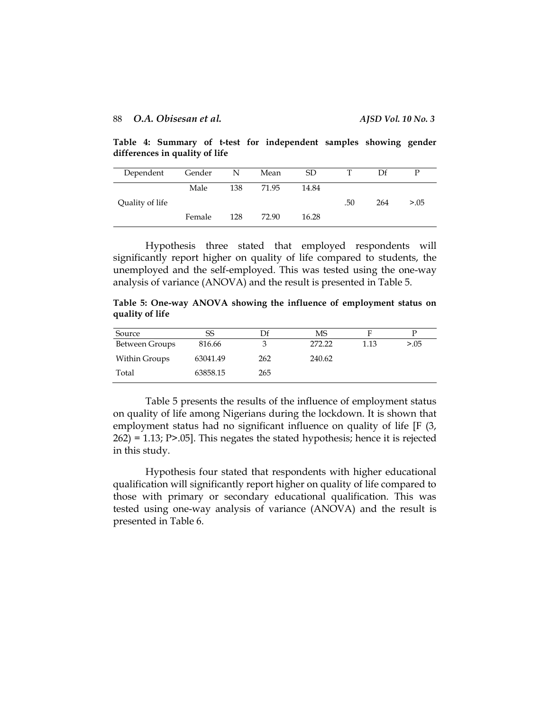**Table 4: Summary of t-test for independent samples showing gender differences in quality of life**

| Dependent       | Gender | N   | Mean  | SD.   | т   | Df  | P      |
|-----------------|--------|-----|-------|-------|-----|-----|--------|
|                 | Male   | 138 | 71.95 | 14.84 |     |     |        |
| Quality of life |        |     |       |       | .50 | 264 | > 0.05 |
|                 | Female | 128 | 72.90 | 16.28 |     |     |        |

Hypothesis three stated that employed respondents will significantly report higher on quality of life compared to students, the unemployed and the self-employed. This was tested using the one-way analysis of variance (ANOVA) and the result is presented in Table 5.

**Table 5: One-way ANOVA showing the influence of employment status on quality of life**

| Source         | SS       |     | MS     |      |        |
|----------------|----------|-----|--------|------|--------|
| Between Groups | 816.66   |     | 272.22 | 1.13 | > 0.05 |
| Within Groups  | 63041.49 | 262 | 240.62 |      |        |
| Total          | 63858.15 | 265 |        |      |        |

Table 5 presents the results of the influence of employment status on quality of life among Nigerians during the lockdown. It is shown that employment status had no significant influence on quality of life [F (3, 262) = 1.13; P>.05]. This negates the stated hypothesis; hence it is rejected in this study.

Hypothesis four stated that respondents with higher educational qualification will significantly report higher on quality of life compared to those with primary or secondary educational qualification. This was tested using one-way analysis of variance (ANOVA) and the result is presented in Table 6.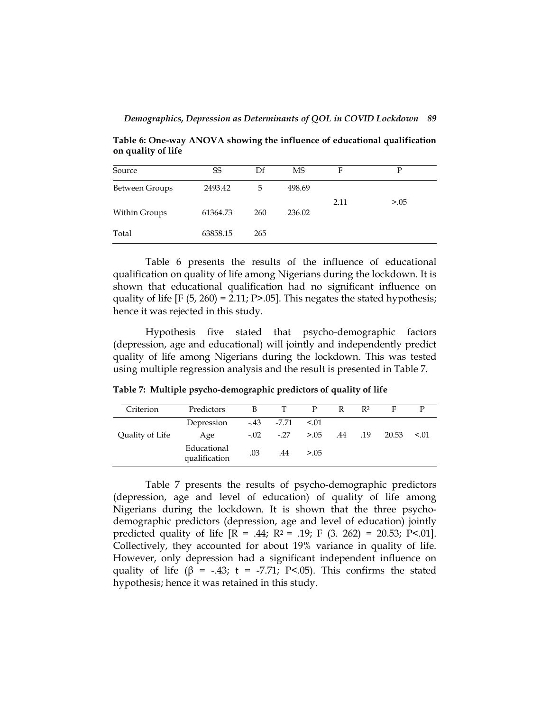**Table 6: One-way ANOVA showing the influence of educational qualification on quality of life**

| Source         | SS       | Df  | MS     | F    | D      |
|----------------|----------|-----|--------|------|--------|
| Between Groups | 2493.42  | 5   | 498.69 |      |        |
| Within Groups  | 61364.73 | 260 | 236.02 | 2.11 | > 0.05 |
| Total          | 63858.15 | 265 |        |      |        |

Table 6 presents the results of the influence of educational qualification on quality of life among Nigerians during the lockdown. It is shown that educational qualification had no significant influence on quality of life  $[F (5, 260) = 2.11; P > .05]$ . This negates the stated hypothesis; hence it was rejected in this study.

Hypothesis five stated that psycho-demographic factors (depression, age and educational) will jointly and independently predict quality of life among Nigerians during the lockdown. This was tested using multiple regression analysis and the result is presented in Table 7.

**Table 7: Multiple psycho-demographic predictors of quality of life**

| Criterion       | Predictors                   | B      |                          | P      | R | R <sup>2</sup> | F.    |        |
|-----------------|------------------------------|--------|--------------------------|--------|---|----------------|-------|--------|
|                 | Depression                   |        | $-43$ $-7.71$            | < 0.01 |   |                |       |        |
| Quality of Life | Age                          | $-.02$ | $-27$ $> 05$ $.44$ $.19$ |        |   |                | 20.53 | < 0.01 |
|                 | Educational<br>qualification | .03    | .44                      | > 0.05 |   |                |       |        |

Table 7 presents the results of psycho-demographic predictors (depression, age and level of education) of quality of life among Nigerians during the lockdown. It is shown that the three psychodemographic predictors (depression, age and level of education) jointly predicted quality of life  $[R = .44; R^2 = .19; F (3. 262) = 20.53; P < .01]$ . Collectively, they accounted for about 19% variance in quality of life. However, only depression had a significant independent influence on quality of life ( $\beta$  = -.43; t = -7.71; P<.05). This confirms the stated hypothesis; hence it was retained in this study.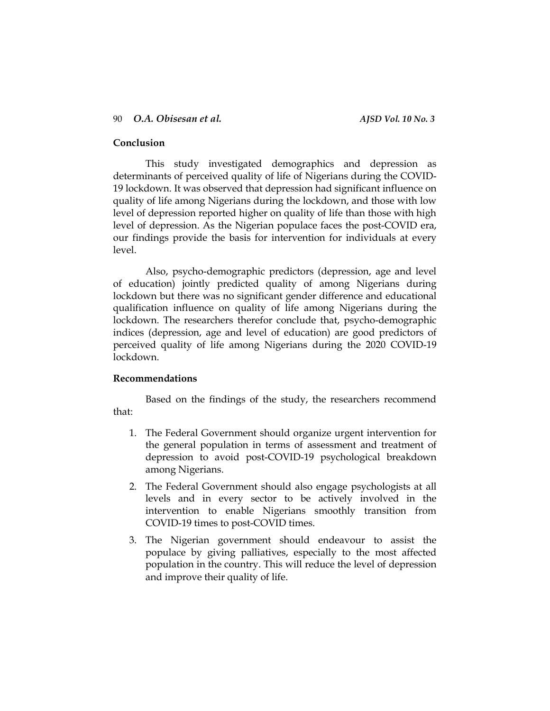# **Conclusion**

This study investigated demographics and depression as determinants of perceived quality of life of Nigerians during the COVID-19 lockdown. It was observed that depression had significant influence on quality of life among Nigerians during the lockdown, and those with low level of depression reported higher on quality of life than those with high level of depression. As the Nigerian populace faces the post-COVID era, our findings provide the basis for intervention for individuals at every level.

Also, psycho-demographic predictors (depression, age and level of education) jointly predicted quality of among Nigerians during lockdown but there was no significant gender difference and educational qualification influence on quality of life among Nigerians during the lockdown. The researchers therefor conclude that, psycho-demographic indices (depression, age and level of education) are good predictors of perceived quality of life among Nigerians during the 2020 COVID-19 lockdown.

# **Recommendations**

Based on the findings of the study, the researchers recommend that:

- 1. The Federal Government should organize urgent intervention for the general population in terms of assessment and treatment of depression to avoid post-COVID-19 psychological breakdown among Nigerians.
- 2. The Federal Government should also engage psychologists at all levels and in every sector to be actively involved in the intervention to enable Nigerians smoothly transition from COVID-19 times to post-COVID times.
- 3. The Nigerian government should endeavour to assist the populace by giving palliatives, especially to the most affected population in the country. This will reduce the level of depression and improve their quality of life.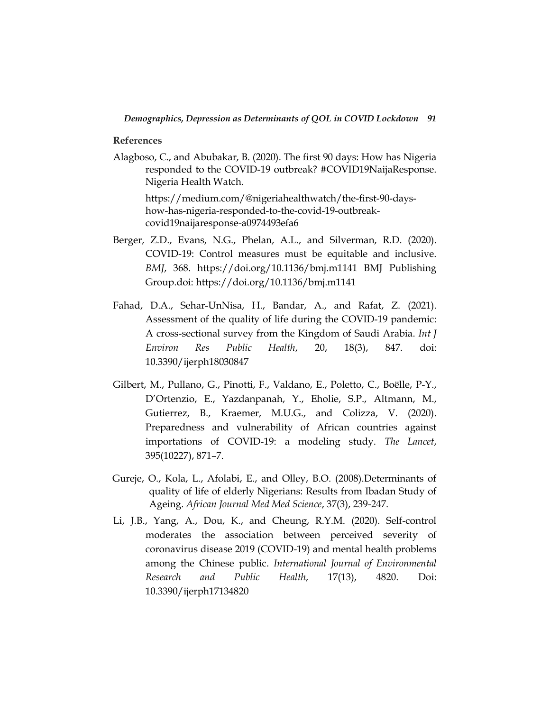**References**

Alagboso, C., and Abubakar, B. (2020). The first 90 days: How has Nigeria responded to the COVID-19 outbreak? #COVID19NaijaResponse. [Nigeria Health Watch.](https://medium.com/@nigeriahealthwatch?source=post_page-----a0974493efa6--------------------------------)

[https://medium.com/@nigeriahealthwatch/the-first-90-days](https://medium.com/@nigeriahealthwatch/the-first-90-days-how-has-nigeria-responded-to-the-covid-19-outbreak-covid19naijaresponse-a0974493efa6)[how-has-nigeria-responded-to-the-covid-19-outbreak](https://medium.com/@nigeriahealthwatch/the-first-90-days-how-has-nigeria-responded-to-the-covid-19-outbreak-covid19naijaresponse-a0974493efa6)[covid19naijaresponse-a0974493efa6](https://medium.com/@nigeriahealthwatch/the-first-90-days-how-has-nigeria-responded-to-the-covid-19-outbreak-covid19naijaresponse-a0974493efa6)

- Berger, Z.D., Evans, N.G., Phelan, A.L., and Silverman, R.D. (2020). COVID-19: Control measures must be equitable and inclusive. *BMJ*, 368. https://doi.org/10.1136/bmj.m1141 BMJ Publishing Group.doi:<https://doi.org/10.1136/bmj.m1141>
- Fahad, D.A., Sehar-UnNisa, H., Bandar, A., and Rafat, Z. (2021). Assessment of the quality of life during the COVID-19 pandemic: A cross-sectional survey from the Kingdom of Saudi Arabia. *Int J Environ Res Public Health*, 20, 18(3), 847. doi: 10.3390/ijerph18030847
- Gilbert, M., Pullano, G., Pinotti, F., Valdano, E., Poletto, C., Boëlle, P-Y., D'Ortenzio, E., Yazdanpanah, Y., Eholie, S.P., Altmann, M., Gutierrez, B., Kraemer, M.U.G., and Colizza, V. (2020). Preparedness and vulnerability of African countries against importations of COVID-19: a modeling study. *The Lancet*, 395(10227), 871–7.
- Gureje, O., Kola, L., Afolabi, E., and Olley, B.O. (2008).Determinants of quality of life of elderly Nigerians: Results from Ibadan Study of Ageing. *African Journal Med Med Science*, 37(3), 239-247.
- Li, J.B., Yang, A., Dou, K., and Cheung, R.Y.M. (2020). Self-control moderates the association between perceived severity of coronavirus disease 2019 (COVID-19) and mental health problems among the Chinese public. *International Journal of Environmental Research and Public Health*, 17(13), 4820. Doi: 10.3390/ijerph17134820